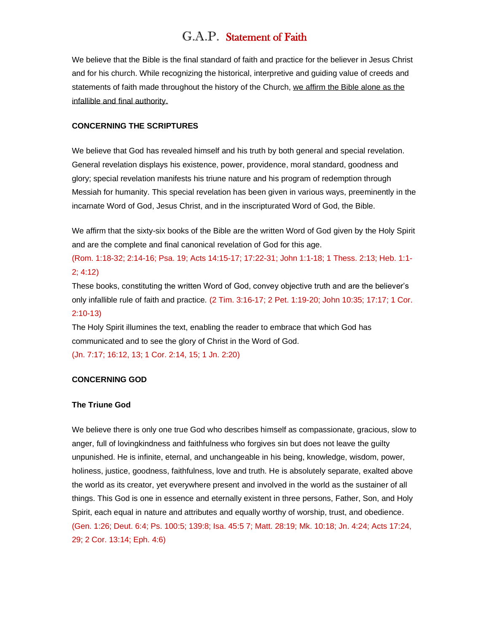# G.A.P. Statement of Faith

We believe that the Bible is the final standard of faith and practice for the believer in Jesus Christ and for his church. While recognizing the historical, interpretive and guiding value of creeds and statements of faith made throughout the history of the Church, we affirm the Bible alone as the infallible and final authority.

# **CONCERNING THE SCRIPTURES**

We believe that God has revealed himself and his truth by both general and special revelation. General revelation displays his existence, power, providence, moral standard, goodness and glory; special revelation manifests his triune nature and his program of redemption through Messiah for humanity. This special revelation has been given in various ways, preeminently in the incarnate Word of God, Jesus Christ, and in the inscripturated Word of God, the Bible.

We affirm that the sixty-six books of the Bible are the written Word of God given by the Holy Spirit and are the complete and final canonical revelation of God for this age.

(Rom. 1:18-32; 2:14-16; Psa. 19; Acts 14:15-17; 17:22-31; John 1:1-18; 1 Thess. 2:13; Heb. 1:1- 2; 4:12)

These books, constituting the written Word of God, convey objective truth and are the believer's only infallible rule of faith and practice. (2 Tim. 3:16-17; 2 Pet. 1:19-20; John 10:35; 17:17; 1 Cor. 2:10-13)

The Holy Spirit illumines the text, enabling the reader to embrace that which God has communicated and to see the glory of Christ in the Word of God.

(Jn. 7:17; 16:12, 13; 1 Cor. 2:14, 15; 1 Jn. 2:20)

# **CONCERNING GOD**

# **The Triune God**

We believe there is only one true God who describes himself as compassionate, gracious, slow to anger, full of lovingkindness and faithfulness who forgives sin but does not leave the guilty unpunished. He is infinite, eternal, and unchangeable in his being, knowledge, wisdom, power, holiness, justice, goodness, faithfulness, love and truth. He is absolutely separate, exalted above the world as its creator, yet everywhere present and involved in the world as the sustainer of all things. This God is one in essence and eternally existent in three persons, Father, Son, and Holy Spirit, each equal in nature and attributes and equally worthy of worship, trust, and obedience. (Gen. 1:26; Deut. 6:4; Ps. 100:5; 139:8; Isa. 45:5 7; Matt. 28:19; Mk. 10:18; Jn. 4:24; Acts 17:24, 29; 2 Cor. 13:14; Eph. 4:6)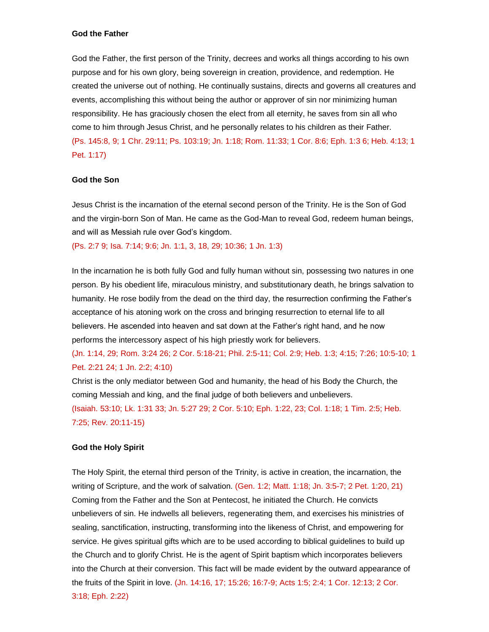#### **God the Father**

God the Father, the first person of the Trinity, decrees and works all things according to his own purpose and for his own glory, being sovereign in creation, providence, and redemption. He created the universe out of nothing. He continually sustains, directs and governs all creatures and events, accomplishing this without being the author or approver of sin nor minimizing human responsibility. He has graciously chosen the elect from all eternity, he saves from sin all who come to him through Jesus Christ, and he personally relates to his children as their Father. (Ps. 145:8, 9; 1 Chr. 29:11; Ps. 103:19; Jn. 1:18; Rom. 11:33; 1 Cor. 8:6; Eph. 1:3 6; Heb. 4:13; 1 Pet. 1:17)

### **God the Son**

Jesus Christ is the incarnation of the eternal second person of the Trinity. He is the Son of God and the virgin-born Son of Man. He came as the God-Man to reveal God, redeem human beings, and will as Messiah rule over God's kingdom.

(Ps. 2:7 9; Isa. 7:14; 9:6; Jn. 1:1, 3, 18, 29; 10:36; 1 Jn. 1:3)

In the incarnation he is both fully God and fully human without sin, possessing two natures in one person. By his obedient life, miraculous ministry, and substitutionary death, he brings salvation to humanity. He rose bodily from the dead on the third day, the resurrection confirming the Father's acceptance of his atoning work on the cross and bringing resurrection to eternal life to all believers. He ascended into heaven and sat down at the Father's right hand, and he now performs the intercessory aspect of his high priestly work for believers.

(Jn. 1:14, 29; Rom. 3:24 26; 2 Cor. 5:18-21; Phil. 2:5-11; Col. 2:9; Heb. 1:3; 4:15; 7:26; 10:5-10; 1 Pet. 2:21 24; 1 Jn. 2:2; 4:10)

Christ is the only mediator between God and humanity, the head of his Body the Church, the coming Messiah and king, and the final judge of both believers and unbelievers. (Isaiah. 53:10; Lk. 1:31 33; Jn. 5:27 29; 2 Cor. 5:10; Eph. 1:22, 23; Col. 1:18; 1 Tim. 2:5; Heb. 7:25; Rev. 20:11-15)

#### **God the Holy Spirit**

The Holy Spirit, the eternal third person of the Trinity, is active in creation, the incarnation, the writing of Scripture, and the work of salvation. (Gen. 1:2; Matt. 1:18; Jn. 3:5-7; 2 Pet. 1:20, 21) Coming from the Father and the Son at Pentecost, he initiated the Church. He convicts unbelievers of sin. He indwells all believers, regenerating them, and exercises his ministries of sealing, sanctification, instructing, transforming into the likeness of Christ, and empowering for service. He gives spiritual gifts which are to be used according to biblical guidelines to build up the Church and to glorify Christ. He is the agent of Spirit baptism which incorporates believers into the Church at their conversion. This fact will be made evident by the outward appearance of the fruits of the Spirit in love. (Jn. 14:16, 17; 15:26; 16:7-9; Acts 1:5; 2:4; 1 Cor. 12:13; 2 Cor. 3:18; Eph. 2:22)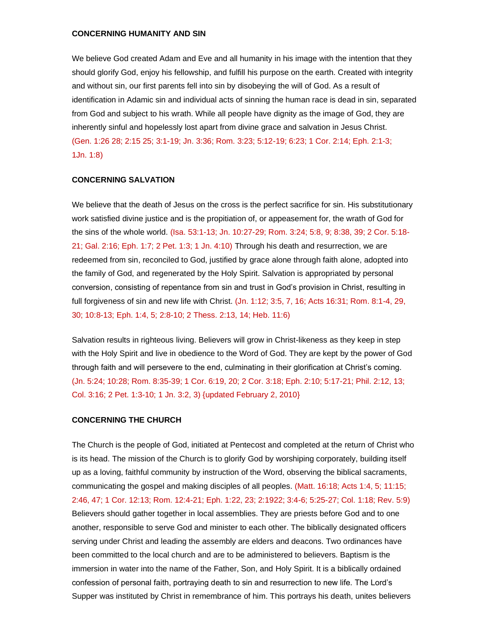#### **CONCERNING HUMANITY AND SIN**

We believe God created Adam and Eve and all humanity in his image with the intention that they should glorify God, enjoy his fellowship, and fulfill his purpose on the earth. Created with integrity and without sin, our first parents fell into sin by disobeying the will of God. As a result of identification in Adamic sin and individual acts of sinning the human race is dead in sin, separated from God and subject to his wrath. While all people have dignity as the image of God, they are inherently sinful and hopelessly lost apart from divine grace and salvation in Jesus Christ. (Gen. 1:26 28; 2:15 25; 3:1-19; Jn. 3:36; Rom. 3:23; 5:12-19; 6:23; 1 Cor. 2:14; Eph. 2:1-3; 1Jn. 1:8)

# **CONCERNING SALVATION**

We believe that the death of Jesus on the cross is the perfect sacrifice for sin. His substitutionary work satisfied divine justice and is the propitiation of, or appeasement for, the wrath of God for the sins of the whole world. (Isa. 53:1-13; Jn. 10:27-29; Rom. 3:24; 5:8, 9; 8:38, 39; 2 Cor. 5:18- 21; Gal. 2:16; Eph. 1:7; 2 Pet. 1:3; 1 Jn. 4:10) Through his death and resurrection, we are redeemed from sin, reconciled to God, justified by grace alone through faith alone, adopted into the family of God, and regenerated by the Holy Spirit. Salvation is appropriated by personal conversion, consisting of repentance from sin and trust in God's provision in Christ, resulting in full forgiveness of sin and new life with Christ. (Jn. 1:12; 3:5, 7, 16; Acts 16:31; Rom. 8:1-4, 29, 30; 10:8-13; Eph. 1:4, 5; 2:8-10; 2 Thess. 2:13, 14; Heb. 11:6)

Salvation results in righteous living. Believers will grow in Christ-likeness as they keep in step with the Holy Spirit and live in obedience to the Word of God. They are kept by the power of God through faith and will persevere to the end, culminating in their glorification at Christ's coming. (Jn. 5:24; 10:28; Rom. 8:35-39; 1 Cor. 6:19, 20; 2 Cor. 3:18; Eph. 2:10; 5:17-21; Phil. 2:12, 13; Col. 3:16; 2 Pet. 1:3-10; 1 Jn. 3:2, 3) {updated February 2, 2010}

#### **CONCERNING THE CHURCH**

The Church is the people of God, initiated at Pentecost and completed at the return of Christ who is its head. The mission of the Church is to glorify God by worshiping corporately, building itself up as a loving, faithful community by instruction of the Word, observing the biblical sacraments, communicating the gospel and making disciples of all peoples. (Matt. 16:18; Acts 1:4, 5; 11:15; 2:46, 47; 1 Cor. 12:13; Rom. 12:4-21; Eph. 1:22, 23; 2:1922; 3:4-6; 5:25-27; Col. 1:18; Rev. 5:9) Believers should gather together in local assemblies. They are priests before God and to one another, responsible to serve God and minister to each other. The biblically designated officers serving under Christ and leading the assembly are elders and deacons. Two ordinances have been committed to the local church and are to be administered to believers. Baptism is the immersion in water into the name of the Father, Son, and Holy Spirit. It is a biblically ordained confession of personal faith, portraying death to sin and resurrection to new life. The Lord's Supper was instituted by Christ in remembrance of him. This portrays his death, unites believers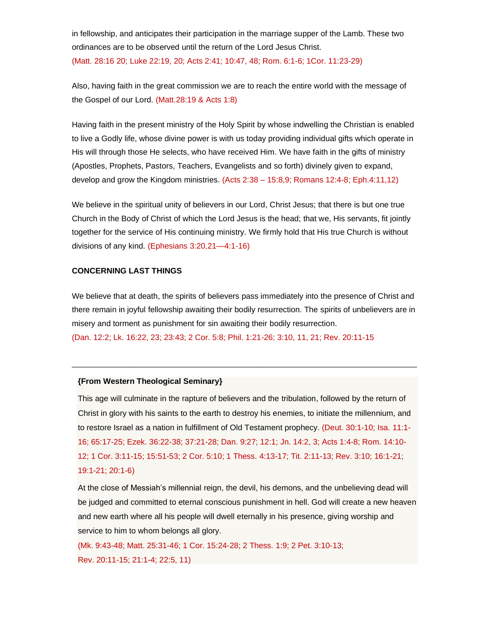in fellowship, and anticipates their participation in the marriage supper of the Lamb. These two ordinances are to be observed until the return of the Lord Jesus Christ. (Matt. 28:16 20; Luke 22:19, 20; Acts 2:41; 10:47, 48; Rom. 6:1-6; 1Cor. 11:23-29)

Also, having faith in the great commission we are to reach the entire world with the message of the Gospel of our Lord. (Matt.28:19 & Acts 1:8)

Having faith in the present ministry of the Holy Spirit by whose indwelling the Christian is enabled to live a Godly life, whose divine power is with us today providing individual gifts which operate in His will through those He selects, who have received Him. We have faith in the gifts of ministry (Apostles, Prophets, Pastors, Teachers, Evangelists and so forth) divinely given to expand, develop and grow the Kingdom ministries. (Acts 2:38 – 15:8,9; Romans 12:4-8; Eph.4:11,12)

We believe in the spiritual unity of believers in our Lord, Christ Jesus; that there is but one true Church in the Body of Christ of which the Lord Jesus is the head; that we, His servants, fit jointly together for the service of His continuing ministry. We firmly hold that His true Church is without divisions of any kind. (Ephesians 3:20,21—4:1-16)

### **CONCERNING LAST THINGS**

We believe that at death, the spirits of believers pass immediately into the presence of Christ and there remain in joyful fellowship awaiting their bodily resurrection. The spirits of unbelievers are in misery and torment as punishment for sin awaiting their bodily resurrection.

\_\_\_\_\_\_\_\_\_\_\_\_\_\_\_\_\_\_\_\_\_\_\_\_\_\_\_\_\_\_\_\_\_\_\_\_\_\_\_\_\_\_\_\_\_\_\_\_\_\_\_\_\_\_\_\_\_\_\_\_\_\_\_\_\_\_\_\_\_\_\_\_

(Dan. 12:2; Lk. 16:22, 23; 23:43; 2 Cor. 5:8; Phil. 1:21-26; 3:10, 11, 21; Rev. 20:11-15

# **{From Western Theological Seminary}**

This age will culminate in the rapture of believers and the tribulation, followed by the return of Christ in glory with his saints to the earth to destroy his enemies, to initiate the millennium, and to restore Israel as a nation in fulfillment of Old Testament prophecy. [\(Deut. 30:1-10;](http://www.gnpcb.org/esv/search/?q=Deut.%2030:1-10) [Isa. 11:1-](http://www.gnpcb.org/esv/search/?q=Isa.%2011:1-16;%2065:17-25) [16; 65:17-25;](http://www.gnpcb.org/esv/search/?q=Isa.%2011:1-16;%2065:17-25) [Ezek. 36:22-38; 37:21-28;](http://www.gnpcb.org/esv/search/?q=Ezek.%2036:22-38;%2037:21-28) [Dan. 9:27; 12:1;](http://www.gnpcb.org/esv/search/?q=Dan.%209:27;%2012:1) [Jn. 14:2, 3;](http://www.gnpcb.org/esv/search/?q=Jn.%2014:2,%203) [Acts 1:4-8;](http://www.gnpcb.org/esv/search/?q=Acts%201:4-8) [Rom. 14:10-](http://www.gnpcb.org/esv/search/?q=Rom.%2014:10-12) [12;](http://www.gnpcb.org/esv/search/?q=Rom.%2014:10-12) [1 Cor. 3:11-15; 15:51-53;](http://www.gnpcb.org/esv/search/?q=1%20Cor.%203:11-15;%2015:51-53) [2 Cor. 5:10;](http://www.gnpcb.org/esv/search/?q=2%20Cor.%205:10) [1 Thess. 4:13-17;](http://www.gnpcb.org/esv/search/?q=1%20Thess.%204:13-17) [Tit. 2:11-13;](http://www.gnpcb.org/esv/search/?q=Tit.%202:11-13) [Rev. 3:10; 16:1-21;](http://www.gnpcb.org/esv/search/?q=Rev.%203:10;%2016:1-21;%2019:1-21;%2020:1-6)  [19:1-21; 20:1-6\)](http://www.gnpcb.org/esv/search/?q=Rev.%203:10;%2016:1-21;%2019:1-21;%2020:1-6)

At the close of Messiah's millennial reign, the devil, his demons, and the unbelieving dead will be judged and committed to eternal conscious punishment in hell. God will create a new heaven and new earth where all his people will dwell eternally in his presence, giving worship and service to him to whom belongs all glory.

[\(Mk. 9:43-48;](http://www.gnpcb.org/esv/search/?q=Mk.%209:43-48) [Matt. 25:31-46;](http://www.gnpcb.org/esv/search/?q=Matt.%2025:31-46) [1 Cor. 15:24-28;](http://www.gnpcb.org/esv/search/?q=1%20Cor.%2015:24-28) [2 Thess. 1:9;](http://www.gnpcb.org/esv/search/?q=2%20Thess.%201:9) [2 Pet. 3:10-13;](http://www.gnpcb.org/esv/search/?q=2%20Pet.%203:10-13) [Rev. 20:11-15; 21:1-4; 22:5, 11\)](http://www.gnpcb.org/esv/search/?q=Rev.%2020:11-15;%2021:1-4;%2022:5,%2011)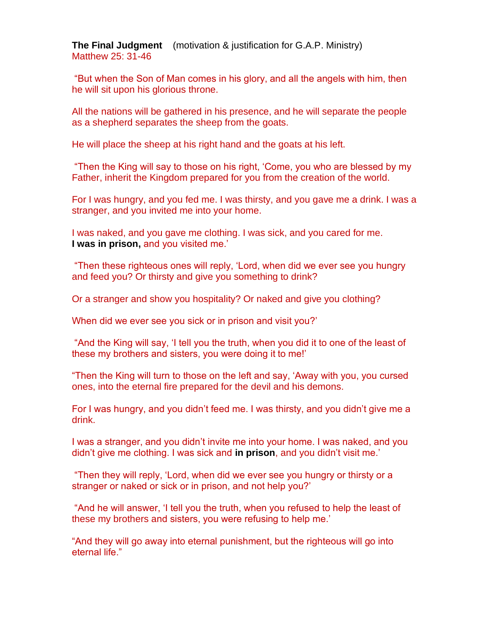**The Final Judgment** (motivation & justification for G.A.P. Ministry) Matthew 25: 31-46

"But when the Son of Man comes in his glory, and all the angels with him, then he will sit upon his glorious throne.

All the nations will be gathered in his presence, and he will separate the people as a shepherd separates the sheep from the goats.

He will place the sheep at his right hand and the goats at his left.

"Then the King will say to those on his right, 'Come, you who are blessed by my Father, inherit the Kingdom prepared for you from the creation of the world.

For I was hungry, and you fed me. I was thirsty, and you gave me a drink. I was a stranger, and you invited me into your home.

I was naked, and you gave me clothing. I was sick, and you cared for me. **I was in prison,** and you visited me.'

"Then these righteous ones will reply, 'Lord, when did we ever see you hungry and feed you? Or thirsty and give you something to drink?

Or a stranger and show you hospitality? Or naked and give you clothing?

When did we ever see you sick or in prison and visit you?'

"And the King will say, 'I tell you the truth, when you did it to one of the least of these my brothers and sisters, you were doing it to me!'

"Then the King will turn to those on the left and say, 'Away with you, you cursed ones, into the eternal fire prepared for the devil and his demons.

For I was hungry, and you didn't feed me. I was thirsty, and you didn't give me a drink.

I was a stranger, and you didn't invite me into your home. I was naked, and you didn't give me clothing. I was sick and **in prison**, and you didn't visit me.'

"Then they will reply, 'Lord, when did we ever see you hungry or thirsty or a stranger or naked or sick or in prison, and not help you?'

"And he will answer, 'I tell you the truth, when you refused to help the least of these my brothers and sisters, you were refusing to help me.'

"And they will go away into eternal punishment, but the righteous will go into eternal life."